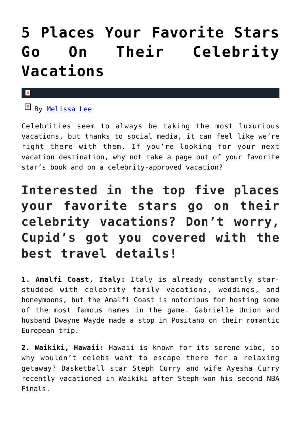## **[5 Places Your Favorite Stars](https://cupidspulse.com/119571/travel-favorite-stars-celebrity-vacations/) [Go On Their Celebrity](https://cupidspulse.com/119571/travel-favorite-stars-celebrity-vacations/) [Vacations](https://cupidspulse.com/119571/travel-favorite-stars-celebrity-vacations/)**

#### $\pmb{\times}$

 $\mathbb{F}$  By [Melissa Lee](http://cupidspulse.com/118747/melissa-lee/)

Celebrities seem to always be taking the most luxurious vacations, but thanks to social media, it can feel like we're right there with them. If you're looking for your next vacation destination, why not take a page out of your favorite star's book and on a celebrity-approved vacation?

### **Interested in the top five places your favorite stars go on their celebrity vacations? Don't worry, Cupid's got you covered with the best travel details!**

**1. Amalfi Coast, Italy:** Italy is already constantly starstudded with celebrity family vacations, weddings, and honeymoons, but the Amalfi Coast is notorious for hosting some of the most famous names in the game. Gabrielle Union and husband Dwayne Wayde made a stop in Positano on their romantic European trip.

**2. Waikiki, Hawaii:** Hawaii is known for its serene vibe, so why wouldn't celebs want to escape there for a relaxing getaway? Basketball star Steph Curry and wife Ayesha Curry recently vacationed in Waikiki after Steph won his second NBA Finals.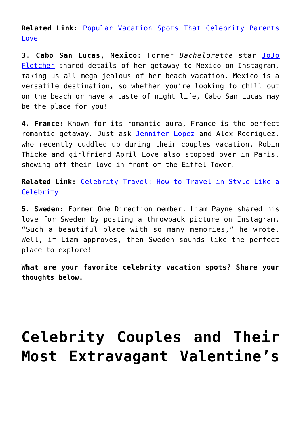**Related Link:** [Popular Vacation Spots That Celebrity Parents](http://cupidspulse.com/118879/vacation-spots-celebrity-parents-love/) [Love](http://cupidspulse.com/118879/vacation-spots-celebrity-parents-love/)

**3. Cabo San Lucas, Mexico:** Former *Bachelorette* star [JoJo](http://cupidspulse.com/107643/jojo-fletcher/) [Fletcher](http://cupidspulse.com/107643/jojo-fletcher/) shared details of her getaway to Mexico on Instagram, making us all mega jealous of her beach vacation. Mexico is a versatile destination, so whether you're looking to chill out on the beach or have a taste of night life, Cabo San Lucas may be the place for you!

**4. France:** Known for its romantic aura, France is the perfect romantic getaway. Just ask [Jennifer Lopez](http://cupidspulse.com/86083/jennifer-lopez/) and Alex Rodriguez, who recently cuddled up during their couples vacation. Robin Thicke and girlfriend April Love also stopped over in Paris, showing off their love in front of the Eiffel Tower.

**Related Link:** [Celebrity Travel: How to Travel in Style Like a](http://cupidspulse.com/118879/vacation-spots-celebrity-parents-love/) **[Celebrity](http://cupidspulse.com/118879/vacation-spots-celebrity-parents-love/)** 

**5. Sweden:** Former One Direction member, Liam Payne shared his love for Sweden by posting a throwback picture on Instagram. "Such a beautiful place with so many memories," he wrote. Well, if Liam approves, then Sweden sounds like the perfect place to explore!

**What are your favorite celebrity vacation spots? Share your thoughts below.**

# **[Celebrity Couples and Their](https://cupidspulse.com/104587/celebrity-couples-and-their-most-extravagant-valentines-day-gifts/) [Most Extravagant Valentine's](https://cupidspulse.com/104587/celebrity-couples-and-their-most-extravagant-valentines-day-gifts/)**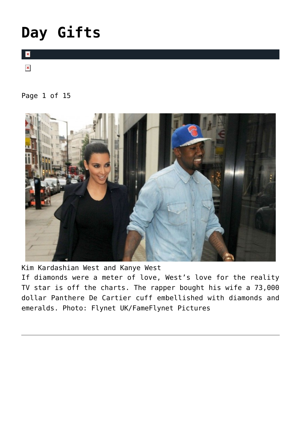# **[Day Gifts](https://cupidspulse.com/104587/celebrity-couples-and-their-most-extravagant-valentines-day-gifts/)**

 $\mathbf{x}$ 

 $\pmb{\times}$ 

### Page 1 of 15



Kim Kardashian West and Kanye West

If diamonds were a meter of love, West's love for the reality TV star is off the charts. The rapper bought his wife a 73,000 dollar Panthere De Cartier cuff embellished with diamonds and emeralds. Photo: Flynet UK/FameFlynet Pictures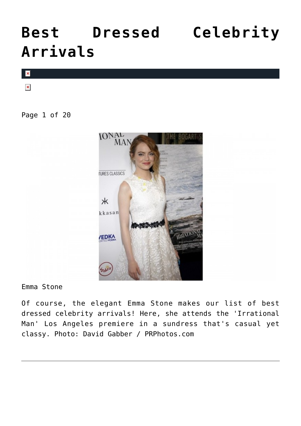## **[Best Dressed Celebrity](https://cupidspulse.com/95750/best-dressed-celebrity-arrivals/) [Arrivals](https://cupidspulse.com/95750/best-dressed-celebrity-arrivals/)**



Page 1 of 20



Emma Stone

Of course, the elegant Emma Stone makes our list of best dressed celebrity arrivals! Here, she attends the 'Irrational Man' Los Angeles premiere in a sundress that's casual yet classy. Photo: David Gabber / PRPhotos.com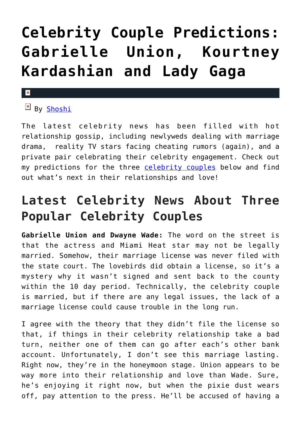# **[Celebrity Couple Predictions:](https://cupidspulse.com/87162/celebrity-couple-predictions-gabrielle-union-kourtney-kardashian-lady-gaga/) [Gabrielle Union, Kourtney](https://cupidspulse.com/87162/celebrity-couple-predictions-gabrielle-union-kourtney-kardashian-lady-gaga/) [Kardashian and Lady Gaga](https://cupidspulse.com/87162/celebrity-couple-predictions-gabrielle-union-kourtney-kardashian-lady-gaga/)**

### $\mathbf{R}$

 $B_V$  [Shoshi](http://about.me/yolandashoshana)

The latest celebrity news has been filled with hot relationship gossip, including newlyweds dealing with marriage drama, reality TV stars facing cheating rumors (again), and a private pair celebrating their celebrity engagement. Check out my predictions for the three [celebrity couples](http://cupidspulse.com/celebrity-news/celebrity-dating/) below and find out what's next in their relationships and love!

### **Latest Celebrity News About Three Popular Celebrity Couples**

**Gabrielle Union and Dwayne Wade:** The word on the street is that the actress and Miami Heat star may not be legally married. Somehow, their marriage license was never filed with the state court. The lovebirds did obtain a license, so it's a mystery why it wasn't signed and sent back to the county within the 10 day period. Technically, the celebrity couple is married, but if there are any legal issues, the lack of a marriage license could cause trouble in the long run.

I agree with the theory that they didn't file the license so that, if things in their celebrity relationship take a bad turn, neither one of them can go after each's other bank account. Unfortunately, I don't see this marriage lasting. Right now, they're in the honeymoon stage. Union appears to be way more into their relationship and love than Wade. Sure, he's enjoying it right now, but when the pixie dust wears off, pay attention to the press. He'll be accused of having a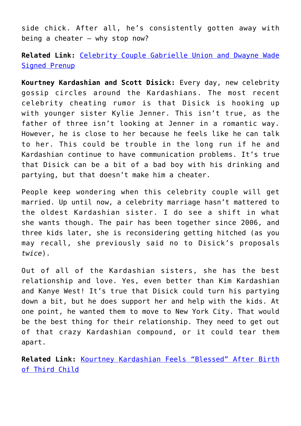side chick. After all, he's consistently gotten away with being a cheater  $-$  why stop now?

**Related Link:** [Celebrity Couple Gabrielle Union and Dwayne Wade](http://cupidspulse.com/85893/celebrity-couple-gabrielle-union-dwayne-wade-signed-prenup-before-celebrity-wedding/) [Signed Prenup](http://cupidspulse.com/85893/celebrity-couple-gabrielle-union-dwayne-wade-signed-prenup-before-celebrity-wedding/)

**Kourtney Kardashian and Scott Disick:** Every day, new celebrity gossip circles around the Kardashians. The most recent celebrity cheating rumor is that Disick is hooking up with younger sister Kylie Jenner. This isn't true, as the father of three isn't looking at Jenner in a romantic way. However, he is close to her because he feels like he can talk to her. This could be trouble in the long run if he and Kardashian continue to have communication problems. It's true that Disick can be a bit of a bad boy with his drinking and partying, but that doesn't make him a cheater.

People keep wondering when this celebrity couple will get married. Up until now, a celebrity marriage hasn't mattered to the oldest Kardashian sister. I do see a shift in what she wants though. The pair has been together since 2006, and three kids later, she is reconsidering getting hitched (as you may recall, she previously said no to Disick's proposals *twice*).

Out of all of the Kardashian sisters, she has the best relationship and love. Yes, even better than Kim Kardashian and Kanye West! It's true that Disick could turn his partying down a bit, but he does support her and help with the kids. At one point, he wanted them to move to New York City. That would be the best thing for their relationship. They need to get out of that crazy Kardashian compound, or it could tear them apart.

**Related Link:** [Kourtney Kardashian Feels "Blessed" After Birth](http://cupidspulse.com/84447/kourtney-kardashian-birth-third-child-scott-disick/) [of Third Child](http://cupidspulse.com/84447/kourtney-kardashian-birth-third-child-scott-disick/)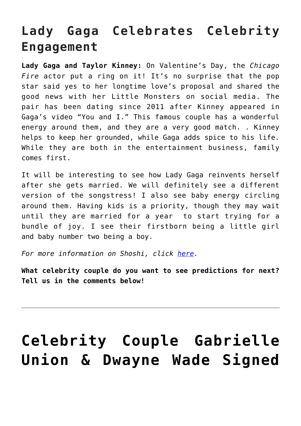### **Lady Gaga Celebrates Celebrity Engagement**

**Lady Gaga and Taylor Kinney:** On Valentine's Day, the *Chicago Fire* actor put a ring on it! It's no surprise that the pop star said yes to her longtime love's proposal and shared the good news with her Little Monsters on social media. The pair has been dating since 2011 after Kinney appeared in Gaga's video "You and I." This famous couple has a wonderful energy around them, and they are a very good match. . Kinney helps to keep her grounded, while Gaga adds spice to his life. While they are both in the entertainment business, family comes first.

It will be interesting to see how Lady Gaga reinvents herself after she gets married. We will definitely see a different version of the songstress! I also see baby energy circling around them. Having kids is a priority, though they may wait until they are married for a year to start trying for a bundle of joy. I see their firstborn being a little girl and baby number two being a boy.

*For more information on Shoshi, click [here.](http://cupidspulse.com/yolanda-shoshana-shoshi-lifestyle-provocateur/)*

**What celebrity couple do you want to see predictions for next? Tell us in the comments below!**

## **[Celebrity Couple Gabrielle](https://cupidspulse.com/85893/celebrity-couple-gabrielle-union-dwayne-wade-signed-prenup-before-celebrity-wedding/) [Union & Dwayne Wade Signed](https://cupidspulse.com/85893/celebrity-couple-gabrielle-union-dwayne-wade-signed-prenup-before-celebrity-wedding/)**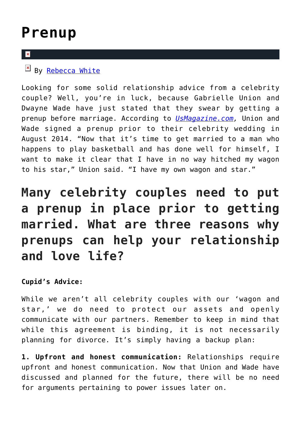### **[Prenup](https://cupidspulse.com/85893/celebrity-couple-gabrielle-union-dwayne-wade-signed-prenup-before-celebrity-wedding/)**

#### $\mathbf{x}$

### $\overline{P}$  By [Rebecca White](http://cupidspulse.com/104603/rebecca-white/)

Looking for some solid relationship advice from a celebrity couple? Well, you're in luck, because Gabrielle Union and Dwayne Wade have just stated that they swear by getting a prenup before marriage. According to *[UsMagazine.com](http://www.usmagazine.com/celebrity-news/news/gabrielle-union-explains-why-she-asked-dwyane-wade-for-a-prenup-2015281),* Union and Wade signed a prenup prior to their celebrity wedding in August 2014. "Now that it's time to get married to a man who happens to play basketball and has done well for himself, I want to make it clear that I have in no way hitched my wagon to his star," Union said. "I have my own wagon and star."

### **Many celebrity couples need to put a prenup in place prior to getting married. What are three reasons why prenups can help your relationship and love life?**

### **Cupid's Advice:**

While we aren't all celebrity couples with our 'wagon and star,' we do need to protect our assets and openly communicate with our partners. Remember to keep in mind that while this agreement is binding, it is not necessarily planning for divorce. It's simply having a backup plan:

**1. Upfront and honest communication:** Relationships require upfront and honest communication. Now that Union and Wade have discussed and planned for the future, there will be no need for arguments pertaining to power issues later on.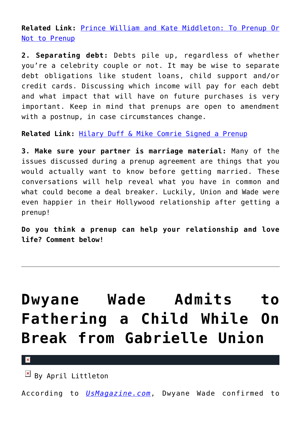**Related Link:** [Prince William and Kate Middleton: To Prenup Or](http://cupidspulse.com/14582/prince-william-and-kate-middleton-to-prenup-or-not-to-prenup/) [Not to Prenup](http://cupidspulse.com/14582/prince-william-and-kate-middleton-to-prenup-or-not-to-prenup/)

**2. Separating debt:** Debts pile up, regardless of whether you're a celebrity couple or not. It may be wise to separate debt obligations like student loans, child support and/or credit cards. Discussing which income will pay for each debt and what impact that will have on future purchases is very important. Keep in mind that prenups are open to amendment with a postnup, in case circumstances change.

**Related Link:** [Hilary Duff & Mike Comrie Signed a Prenup](http://cupidspulse.com/3615/hilary-duff-mike-comrie-signed-a-prenup/)

**3. Make sure your partner is marriage material:** Many of the issues discussed during a prenup agreement are things that you would actually want to know before getting married. These conversations will help reveal what you have in common and what could become a deal breaker. Luckily, Union and Wade were even happier in their Hollywood relationship after getting a prenup!

**Do you think a prenup can help your relationship and love life? Comment below!**

# **[Dwyane Wade Admits to](https://cupidspulse.com/66630/dwyane-wade-fathering-child-while-on-break-gabrielle-union/) [Fathering a Child While On](https://cupidspulse.com/66630/dwyane-wade-fathering-child-while-on-break-gabrielle-union/) [Break from Gabrielle Union](https://cupidspulse.com/66630/dwyane-wade-fathering-child-while-on-break-gabrielle-union/)**

 $\pmb{\times}$ 

 $\overline{B}$  By April Littleton

According to *[UsMagazine.com](http://www.usmagazine.com/celebrity-news/news/dwyane-wade-fathered-child-break-gabrielle-union-report-20133012)*, Dwyane Wade confirmed to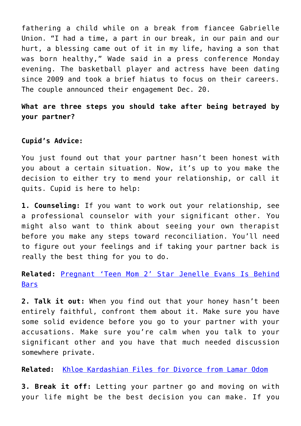fathering a child while on a break from fiancee Gabrielle Union. "I had a time, a part in our break, in our pain and our hurt, a blessing came out of it in my life, having a son that was born healthy," Wade said in a press conference Monday evening. The basketball player and actress have been dating since 2009 and took a brief hiatus to focus on their careers. The couple announced their engagement Dec. 20.

**What are three steps you should take after being betrayed by your partner?**

#### **Cupid's Advice:**

You just found out that your partner hasn't been honest with you about a certain situation. Now, it's up to you make the decision to either try to mend your relationship, or call it quits. Cupid is here to help:

**1. Counseling:** If you want to work out your relationship, see a professional counselor with your significant other. You might also want to think about seeing your own therapist before you make any steps toward reconciliation. You'll need to figure out your feelings and if taking your partner back is really the best thing for you to do.

**Related:** [Pregnant 'Teen Mom 2' Star Jenelle Evans Is Behind](http://cupidspulse.com/pregnant-teen-mom-2-star-jenelle-evans-behind-bars-fight-boyfriend/) [Bars](http://cupidspulse.com/pregnant-teen-mom-2-star-jenelle-evans-behind-bars-fight-boyfriend/)

**2. Talk it out:** When you find out that your honey hasn't been entirely faithful, confront them about it. Make sure you have some solid evidence before you go to your partner with your accusations. Make sure you're calm when you talk to your significant other and you have that much needed discussion somewhere private.

**Related:** [Khloe Kardashian Files for Divorce from Lamar Odom](http://cupidspulse.com/khloe-kardashian-divorce-lamar-odom/)

**3. Break it off:** Letting your partner go and moving on with your life might be the best decision you can make. If you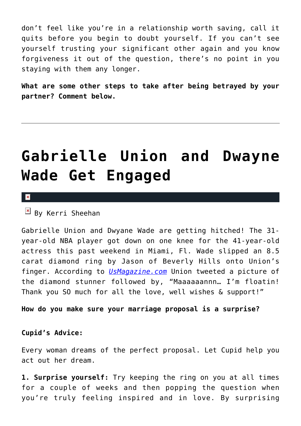don't feel like you're in a relationship worth saving, call it quits before you begin to doubt yourself. If you can't see yourself trusting your significant other again and you know forgiveness it out of the question, there's no point in you staying with them any longer.

**What are some other steps to take after being betrayed by your partner? Comment below.**

## **[Gabrielle Union and Dwayne](https://cupidspulse.com/66422/gabrielle-union-and-dwayne-wade-get-engaged/) [Wade Get Engaged](https://cupidspulse.com/66422/gabrielle-union-and-dwayne-wade-get-engaged/)**

 $\pmb{\times}$ 

 $\mathbb{E}$  By Kerri Sheehan

Gabrielle Union and Dwyane Wade are getting hitched! The 31 year-old NBA player got down on one knee for the 41-year-old actress this past weekend in Miami, Fl. Wade slipped an 8.5 carat diamond ring by Jason of Beverly Hills onto Union's finger. According to *[UsMagazine.com](http://www.usmagazine.com/celebrity-news/news/gabrielle-union-dwyane-wade-get-engaged-proposal-picture-20132312)* Union tweeted a picture of the diamond stunner followed by, "Maaaaaannn… I'm floatin! Thank you SO much for all the love, well wishes & support!"

**How do you make sure your marriage proposal is a surprise?**

#### **Cupid's Advice:**

Every woman dreams of the perfect proposal. Let Cupid help you act out her dream.

**1. Surprise yourself:** Try keeping the ring on you at all times for a couple of weeks and then popping the question when you're truly feeling inspired and in love. By surprising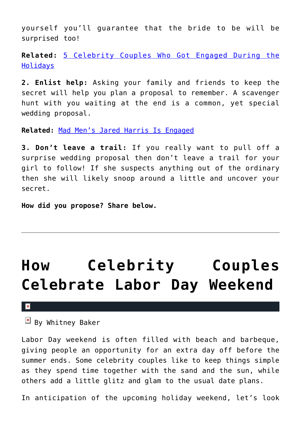yourself you'll guarantee that the bride to be will be surprised too!

**Related:** [5 Celebrity Couples Who Got Engaged During the](http://cupidspulse.com/83786/celebrity-couples-engaged-over-holidays/) [Holidays](http://cupidspulse.com/83786/celebrity-couples-engaged-over-holidays/)

**2. Enlist help:** Asking your family and friends to keep the secret will help you plan a proposal to remember. A scavenger hunt with you waiting at the end is a common, yet special wedding proposal.

**Related:** [Mad Men's Jared Harris Is Engaged](http://cupidspulse.com/mad-men-star-jared-harris-engaged/)

**3. Don't leave a trail:** If you really want to pull off a surprise wedding proposal then don't leave a trail for your girl to follow! If she suspects anything out of the ordinary then she will likely snoop around a little and uncover your secret.

**How did you propose? Share below.**

# **[How Celebrity Couples](https://cupidspulse.com/34504/celebrity-couples-labor-day-weekend/) [Celebrate Labor Day Weekend](https://cupidspulse.com/34504/celebrity-couples-labor-day-weekend/)**

#### $\pmb{\times}$

 $\overline{B}$  By Whitney Baker

Labor Day weekend is often filled with beach and barbeque, giving people an opportunity for an extra day off before the summer ends. Some celebrity couples like to keep things simple as they spend time together with the sand and the sun, while others add a little glitz and glam to the usual date plans.

In anticipation of the upcoming holiday weekend, let's look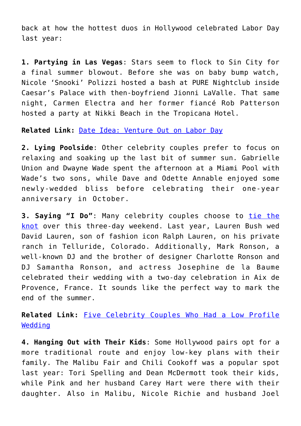back at how the hottest duos in Hollywood celebrated Labor Day last year:

**1. Partying in Las Vegas**: Stars seem to flock to Sin City for a final summer blowout. Before she was on baby bump watch, Nicole 'Snooki' Polizzi hosted a bash at PURE Nightclub inside Caesar's Palace with then-boyfriend Jionni LaValle. That same night, Carmen Electra and her former fiancé Rob Patterson hosted a party at Nikki Beach in the Tropicana Hotel.

**Related Link:** [Date Idea: Venture Out on Labor Day](https://cupidspulse.com/weekend-affairs-have-a-love-filled-labor-day/)

**2. Lying Poolside**: Other celebrity couples prefer to focus on relaxing and soaking up the last bit of summer sun. Gabrielle Union and Dwayne Wade spent the afternoon at a Miami Pool with Wade's two sons, while Dave and Odette Annable enjoyed some newly-wedded bliss before celebrating their one-year anniversary in October.

**3. Saying "I Do"**: Many celebrity couples choose to [tie the](https://cupidspulse.com/molly-sims-scott-stuber-marry-tie-knot-napa-valley/) [knot](https://cupidspulse.com/molly-sims-scott-stuber-marry-tie-knot-napa-valley/) over this three-day weekend. Last year, Lauren Bush wed David Lauren, son of fashion icon Ralph Lauren, on his private ranch in Telluride, Colorado. Additionally, Mark Ronson, a well-known DJ and the brother of designer Charlotte Ronson and DJ Samantha Ronson, and actress Josephine de la Baume celebrated their wedding with a two-day celebration in Aix de Provence, France. It sounds like the perfect way to mark the end of the summer.

**Related Link:** [Five Celebrity Couples Who Had a Low Profile](https://cupidspulse.com/five-celebrity-couples-low-profile-wedding-marriage/) **[Wedding](https://cupidspulse.com/five-celebrity-couples-low-profile-wedding-marriage/)** 

**4. Hanging Out with Their Kids**: Some Hollywood pairs opt for a more traditional route and enjoy low-key plans with their family. The Malibu Fair and Chili Cookoff was a popular spot last year: Tori Spelling and Dean McDermott took their kids, while Pink and her husband Carey Hart were there with their daughter. Also in Malibu, Nicole Richie and husband Joel